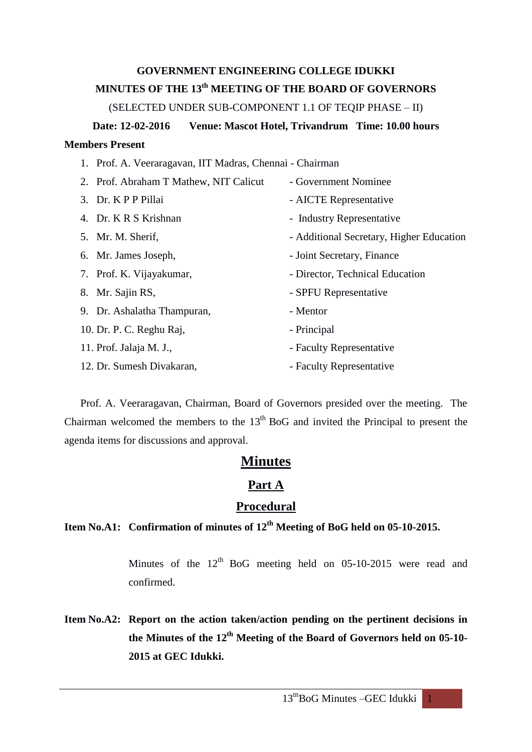# **GOVERNMENT ENGINEERING COLLEGE IDUKKI MINUTES OF THE 13th MEETING OF THE BOARD OF GOVERNORS**

(SELECTED UNDER SUB-COMPONENT 1.1 OF TEQIP PHASE – II)

# **Date: 12-02-2016 Venue: Mascot Hotel, Trivandrum Time: 10.00 hours**

## **Members Present**

| 1. Prof. A. Veeraragavan, IIT Madras, Chennai - Chairman |                                          |  |  |  |
|----------------------------------------------------------|------------------------------------------|--|--|--|
| 2. Prof. Abraham T Mathew, NIT Calicut                   | - Government Nominee                     |  |  |  |
| 3. Dr. KPP Pillai                                        | - AICTE Representative                   |  |  |  |
| 4. Dr. K R S Krishnan                                    | - Industry Representative                |  |  |  |
| 5. Mr. M. Sherif,                                        | - Additional Secretary, Higher Education |  |  |  |
| 6. Mr. James Joseph,                                     | - Joint Secretary, Finance               |  |  |  |
| 7. Prof. K. Vijayakumar,                                 | - Director, Technical Education          |  |  |  |
| 8. Mr. Sajin RS,                                         | - SPFU Representative                    |  |  |  |
| 9. Dr. Ashalatha Thampuran,                              | - Mentor                                 |  |  |  |
| 10. Dr. P. C. Reghu Raj,                                 | - Principal                              |  |  |  |
| 11. Prof. Jalaja M. J.,                                  | - Faculty Representative                 |  |  |  |
| 12. Dr. Sumesh Divakaran,                                | - Faculty Representative                 |  |  |  |

Prof. A. Veeraragavan, Chairman, Board of Governors presided over the meeting. The Chairman welcomed the members to the  $13<sup>th</sup>$  BoG and invited the Principal to present the agenda items for discussions and approval.

# **Minutes**

## **Part A**

## **Procedural**

# **Item No.A1: Confirmation of minutes of 12th Meeting of BoG held on 05-10-2015.**

Minutes of the  $12<sup>th</sup>$  BoG meeting held on 05-10-2015 were read and confirmed.

**Item No.A2: Report on the action taken/action pending on the pertinent decisions in the Minutes of the 12 th Meeting of the Board of Governors held on 05-10- 2015 at GEC Idukki.**

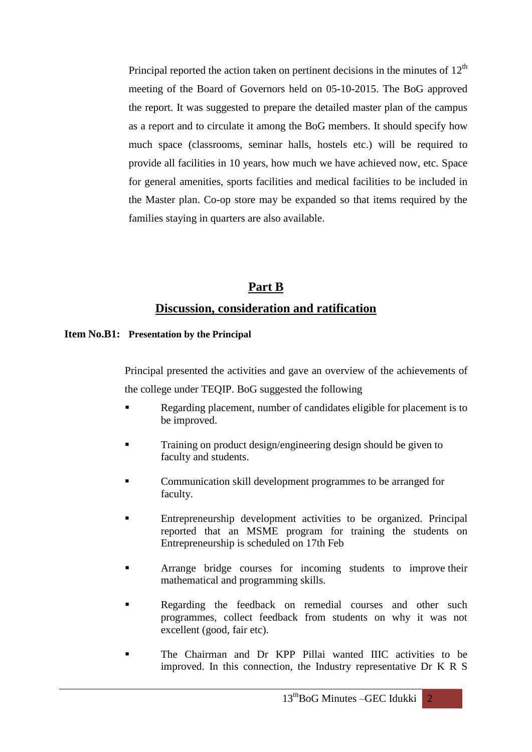Principal reported the action taken on pertinent decisions in the minutes of  $12<sup>th</sup>$ meeting of the Board of Governors held on 05-10-2015. The BoG approved the report. It was suggested to prepare the detailed master plan of the campus as a report and to circulate it among the BoG members. It should specify how much space (classrooms, seminar halls, hostels etc.) will be required to provide all facilities in 10 years, how much we have achieved now, etc. Space for general amenities, sports facilities and medical facilities to be included in the Master plan. Co-op store may be expanded so that items required by the families staying in quarters are also available.

# **Part B Discussion, consideration and ratification**

#### **Item No.B1: Presentation by the Principal**

Principal presented the activities and gave an overview of the achievements of

the college under TEQIP. BoG suggested the following

- Regarding placement, number of candidates eligible for placement is to be improved.
- Training on product design/engineering design should be given to faculty and students.
- Communication skill development programmes to be arranged for faculty.
- Entrepreneurship development activities to be organized. Principal reported that an MSME program for training the students on Entrepreneurship is scheduled on 17th Feb
- Arrange bridge courses for incoming students to improve their mathematical and programming skills.
- Regarding the feedback on remedial courses and other such programmes, collect feedback from students on why it was not excellent (good, fair etc).
- The Chairman and Dr KPP Pillai wanted IIIC activities to be improved. In this connection, the Industry representative Dr K R S

 $13<sup>th</sup>$ BoG Minutes –GEC Idukki 2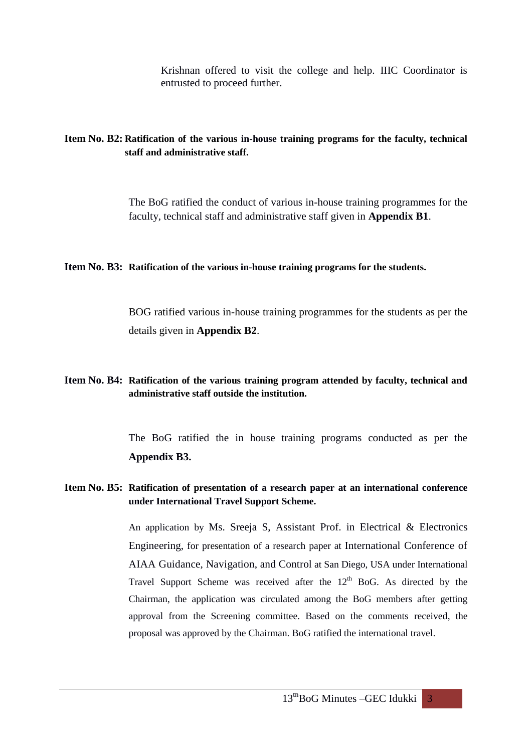Krishnan offered to visit the college and help. IIIC Coordinator is entrusted to proceed further.

### **Item No. B2: Ratification of the various in-house training programs for the faculty, technical staff and administrative staff.**

The BoG ratified the conduct of various in-house training programmes for the faculty, technical staff and administrative staff given in **Appendix B1**.

#### **Item No. B3: Ratification of the various in-house training programs for the students.**

BOG ratified various in-house training programmes for the students as per the details given in **Appendix B2**.

### **Item No. B4: Ratification of the various training program attended by faculty, technical and administrative staff outside the institution.**

The BoG ratified the in house training programs conducted as per the **Appendix B3.**

### **Item No. B5: Ratification of presentation of a research paper at an international conference under International Travel Support Scheme.**

An application by Ms. Sreeja S, Assistant Prof. in Electrical & Electronics Engineering, for presentation of a research paper at International Conference of AIAA Guidance, Navigation, and Control at San Diego, USA under International Travel Support Scheme was received after the  $12<sup>th</sup>$  BoG. As directed by the Chairman, the application was circulated among the BoG members after getting approval from the Screening committee. Based on the comments received, the proposal was approved by the Chairman. BoG ratified the international travel.

13<sup>th</sup>BoG Minutes –GEC Idukki 3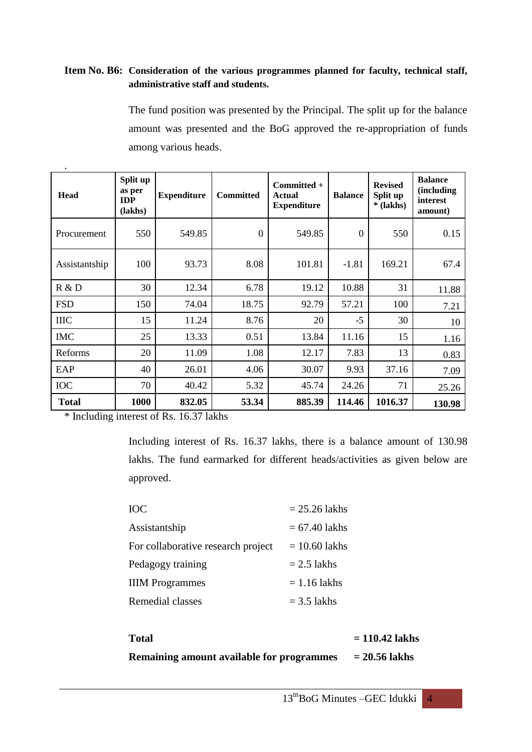### **Item No. B6: Consideration of the various programmes planned for faculty, technical staff, administrative staff and students.**

The fund position was presented by the Principal. The split up for the balance amount was presented and the BoG approved the re-appropriation of funds among various heads.

| Head          | Split up<br>as per<br><b>IDP</b><br>(lakhs) | <b>Expenditure</b> | <b>Committed</b> | Committed +<br>Actual<br><b>Expenditure</b> | <b>Balance</b> | <b>Revised</b><br>Split up<br>$*(lakhs)$ | <b>Balance</b><br><i>(including)</i><br>interest<br>amount) |
|---------------|---------------------------------------------|--------------------|------------------|---------------------------------------------|----------------|------------------------------------------|-------------------------------------------------------------|
| Procurement   | 550                                         | 549.85             | $\theta$         | 549.85                                      | $\theta$       | 550                                      | 0.15                                                        |
| Assistantship | 100                                         | 93.73              | 8.08             | 101.81                                      | $-1.81$        | 169.21                                   | 67.4                                                        |
| R & D         | 30                                          | 12.34              | 6.78             | 19.12                                       | 10.88          | 31                                       | 11.88                                                       |
| <b>FSD</b>    | 150                                         | 74.04              | 18.75            | 92.79                                       | 57.21          | 100                                      | 7.21                                                        |
| <b>IIIC</b>   | 15                                          | 11.24              | 8.76             | 20                                          | $-5$           | 30                                       | 10                                                          |
| <b>IMC</b>    | 25                                          | 13.33              | 0.51             | 13.84                                       | 11.16          | 15                                       | 1.16                                                        |
| Reforms       | 20                                          | 11.09              | 1.08             | 12.17                                       | 7.83           | 13                                       | 0.83                                                        |
| EAP           | 40                                          | 26.01              | 4.06             | 30.07                                       | 9.93           | 37.16                                    | 7.09                                                        |
| IOC           | 70                                          | 40.42              | 5.32             | 45.74                                       | 24.26          | 71                                       | 25.26                                                       |
| <b>Total</b>  | 1000                                        | 832.05             | 53.34            | 885.39                                      | 114.46         | 1016.37                                  | 130.98                                                      |

\* Including interest of Rs. 16.37 lakhs

Including interest of Rs. 16.37 lakhs, there is a balance amount of 130.98 lakhs. The fund earmarked for different heads/activities as given below are approved.

| <b>IOC</b>                         | $= 25.26$ lakhs |
|------------------------------------|-----------------|
| Assistantship                      | $= 67.40$ lakhs |
| For collaborative research project | $= 10.60$ lakhs |
| Pedagogy training                  | $= 2.5$ lakhs   |
| <b>IIIM</b> Programmes             | $= 1.16$ lakhs  |
| Remedial classes                   | $=$ 3.5 lakhs   |

| <b>Total</b>                              | $= 110.42$ lakhs |
|-------------------------------------------|------------------|
| Remaining amount available for programmes | $= 20.56$ lakhs  |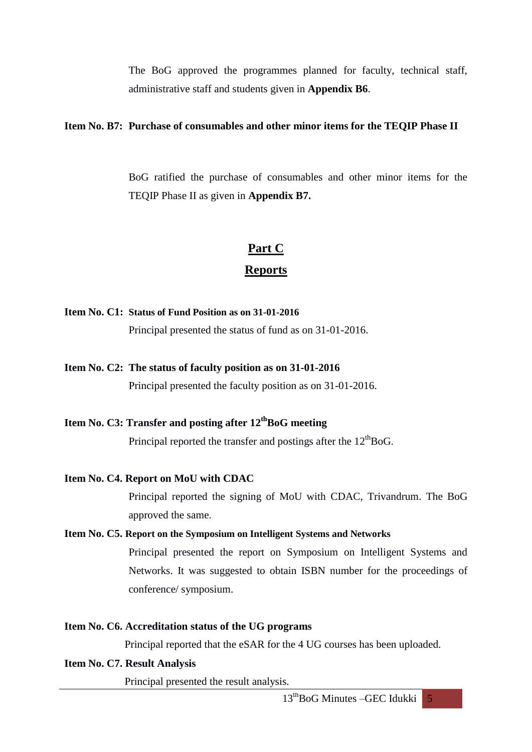The BoG approved the programmes planned for faculty, technical staff, administrative staff and students given in **Appendix B6**.

### **Item No. B7: Purchase of consumables and other minor items for the TEQIP Phase II**

BoG ratified the purchase of consumables and other minor items for the TEQIP Phase II as given in **Appendix B7.**

# **Part C Reports**

#### **Item No. C1: Status of Fund Position as on 31-01-2016**

Principal presented the status of fund as on 31-01-2016.

**Item No. C2: The status of faculty position as on 31-01-2016**

Principal presented the faculty position as on 31-01-2016.

## **Item No. C3: Transfer and posting after 12 thBoG meeting**

Principal reported the transfer and postings after the  $12<sup>th</sup>BoG$ .

#### **Item No. C4. Report on MoU with CDAC**

Principal reported the signing of MoU with CDAC, Trivandrum. The BoG approved the same.

#### **Item No. C5. Report on the Symposium on Intelligent Systems and Networks**

Principal presented the report on Symposium on Intelligent Systems and Networks. It was suggested to obtain ISBN number for the proceedings of conference/ symposium.

#### **Item No. C6. Accreditation status of the UG programs**

Principal reported that the eSAR for the 4 UG courses has been uploaded.

#### **Item No. C7. Result Analysis**

Principal presented the result analysis.

 $13<sup>th</sup>$ BoG Minutes –GEC Idukki 5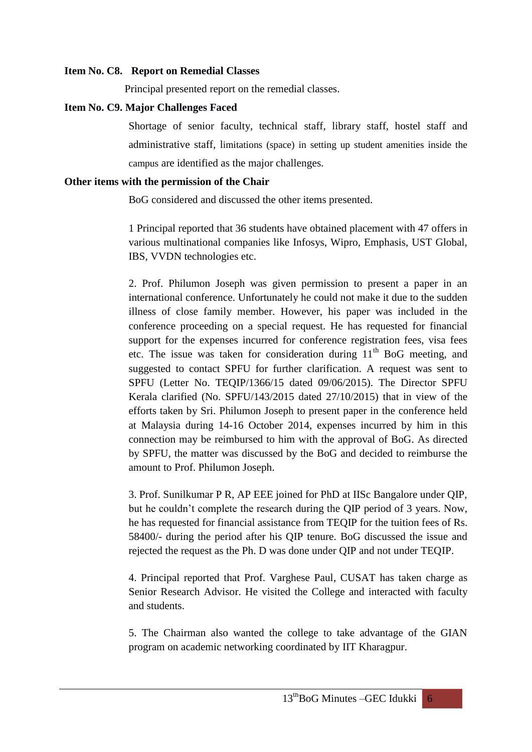#### **Item No. C8. Report on Remedial Classes**

Principal presented report on the remedial classes.

#### **Item No. C9. Major Challenges Faced**

Shortage of senior faculty, technical staff, library staff, hostel staff and administrative staff, limitations (space) in setting up student amenities inside the campus are identified as the major challenges.

#### **Other items with the permission of the Chair**

BoG considered and discussed the other items presented.

1 Principal reported that 36 students have obtained placement with 47 offers in various multinational companies like Infosys, Wipro, Emphasis, UST Global, IBS, VVDN technologies etc.

2. Prof. Philumon Joseph was given permission to present a paper in an international conference. Unfortunately he could not make it due to the sudden illness of close family member. However, his paper was included in the conference proceeding on a special request. He has requested for financial support for the expenses incurred for conference registration fees, visa fees etc. The issue was taken for consideration during  $11<sup>th</sup>$  BoG meeting, and suggested to contact SPFU for further clarification. A request was sent to SPFU (Letter No. TEQIP/1366/15 dated 09/06/2015). The Director SPFU Kerala clarified (No. SPFU/143/2015 dated 27/10/2015) that in view of the efforts taken by Sri. Philumon Joseph to present paper in the conference held at Malaysia during 14-16 October 2014, expenses incurred by him in this connection may be reimbursed to him with the approval of BoG. As directed by SPFU, the matter was discussed by the BoG and decided to reimburse the amount to Prof. Philumon Joseph.

3. Prof. Sunilkumar P R, AP EEE joined for PhD at IISc Bangalore under QIP, but he couldn't complete the research during the QIP period of 3 years. Now, he has requested for financial assistance from TEQIP for the tuition fees of Rs. 58400/- during the period after his QIP tenure. BoG discussed the issue and rejected the request as the Ph. D was done under QIP and not under TEQIP.

4. Principal reported that Prof. Varghese Paul, CUSAT has taken charge as Senior Research Advisor. He visited the College and interacted with faculty and students.

5. The Chairman also wanted the college to take advantage of the GIAN program on academic networking coordinated by IIT Kharagpur.